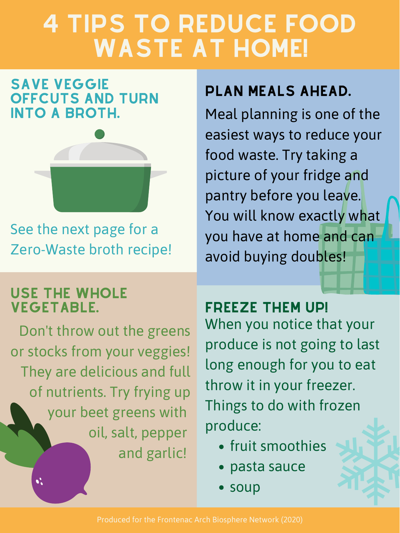Meal planning is one of the easiest ways to reduce your food waste. Try taking a picture of your fridge and pantry before you leave. You will know exactly what you have at home and can avoid buying doubles!

## 4 TIPS TO REDUCE FOOD WASTE AT HOME!

Don't throw out the greens or stocks from your veggies! They are delicious and full of nutrients. Try frying up your beet greens with oil, salt, pepper

When you notice that your produce is not going to last long enough for you to eat throw it in your freezer. Things to do with frozen produce: VEGETABLE. FREEZE THEM UP!

- and garlic! fruit smoothies
	- pasta sauce
	- soup

See the next page for a Zero-Waste broth recipe!

#### SAVE VEGGIE OFFCUTS AND TURN INTO A BROTH.



Produced for the Frontenac Arch Biosphere Network (2020)

## PLAN MEALS AHEAD.

# USE THE WHOLE

 $\bullet^\bullet_\bullet$